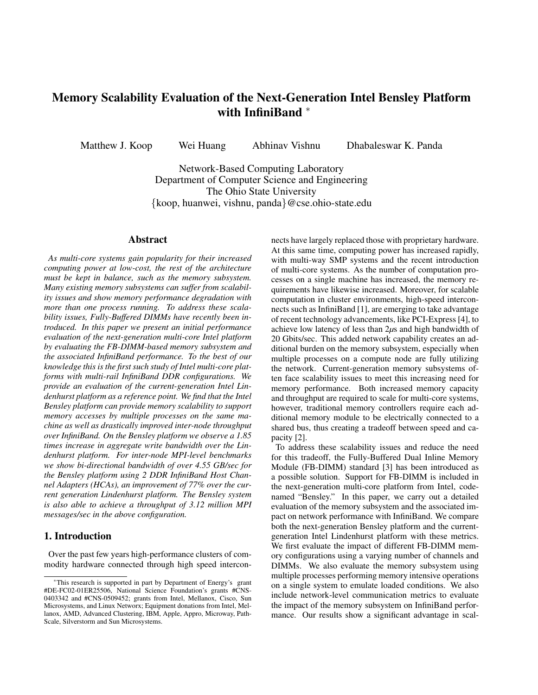# Memory Scalability Evaluation of the Next-Generation Intel Bensley Platform with InfiniBand <sup>∗</sup>

Matthew J. Koop Wei Huang Abhinav Vishnu Dhabaleswar K. Panda

Network-Based Computing Laboratory Department of Computer Science and Engineering The Ohio State University {koop, huanwei, vishnu, panda}@cse.ohio-state.edu

#### Abstract

*As multi-core systems gain popularity for their increased computing power at low-cost, the rest of the architecture must be kept in balance, such as the memory subsystem. Many existing memory subsystems can suffer from scalability issues and show memory performance degradation with more than one process running. To address these scalability issues, Fully-Buffered DIMMs have recently been introduced. In this paper we present an initial performance evaluation of the next-generation multi-core Intel platform by evaluating the FB-DIMM-based memory subsystem and the associated InfiniBand performance. To the best of our knowledge this is the first such study of Intel multi-core platforms with multi-rail InfiniBand DDR configurations. We provide an evaluation of the current-generation Intel Lindenhurst platform as a reference point. We find that the Intel Bensley platform can provide memory scalability to support memory accesses by multiple processes on the same machine as well as drastically improved inter-node throughput over InfiniBand. On the Bensley platform we observe a 1.85 times increase in aggregate write bandwidth over the Lindenhurst platform. For inter-node MPI-level benchmarks we show bi-directional bandwidth of over 4.55 GB/sec for the Bensley platform using 2 DDR InfiniBand Host Channel Adapters (HCAs), an improvement of 77% over the current generation Lindenhurst platform. The Bensley system is also able to achieve a throughput of 3.12 million MPI messages/sec in the above configuration.*

# 1. Introduction

Over the past few years high-performance clusters of commodity hardware connected through high speed interconnects have largely replaced those with proprietary hardware. At this same time, computing power has increased rapidly, with multi-way SMP systems and the recent introduction of multi-core systems. As the number of computation processes on a single machine has increased, the memory requirements have likewise increased. Moreover, for scalable computation in cluster environments, high-speed interconnects such as InfiniBand [1], are emerging to take advantage of recent technology advancements, like PCI-Express [4], to achieve low latency of less than 2*µ*s and high bandwidth of 20 Gbits/sec. This added network capability creates an additional burden on the memory subsystem, especially when multiple processes on a compute node are fully utilizing the network. Current-generation memory subsystems often face scalability issues to meet this increasing need for memory performance. Both increased memory capacity and throughput are required to scale for multi-core systems, however, traditional memory controllers require each additional memory module to be electrically connected to a shared bus, thus creating a tradeoff between speed and capacity [2].

To address these scalability issues and reduce the need for this tradeoff, the Fully-Buffered Dual Inline Memory Module (FB-DIMM) standard [3] has been introduced as a possible solution. Support for FB-DIMM is included in the next-generation multi-core platform from Intel, codenamed "Bensley." In this paper, we carry out a detailed evaluation of the memory subsystem and the associated impact on network performance with InfiniBand. We compare both the next-generation Bensley platform and the currentgeneration Intel Lindenhurst platform with these metrics. We first evaluate the impact of different FB-DIMM memory configurations using a varying number of channels and DIMMs. We also evaluate the memory subsystem using multiple processes performing memory intensive operations on a single system to emulate loaded conditions. We also include network-level communication metrics to evaluate the impact of the memory subsystem on InfiniBand performance. Our results show a significant advantage in scal-

<sup>∗</sup>This research is supported in part by Department of Energy's grant #DE-FC02-01ER25506, National Science Foundation's grants #CNS-0403342 and #CNS-0509452; grants from Intel, Mellanox, Cisco, Sun Microsystems, and Linux Networx; Equipment donations from Intel, Mellanox, AMD, Advanced Clustering, IBM, Apple, Appro, Microway, Path-Scale, Silverstorm and Sun Microsystems.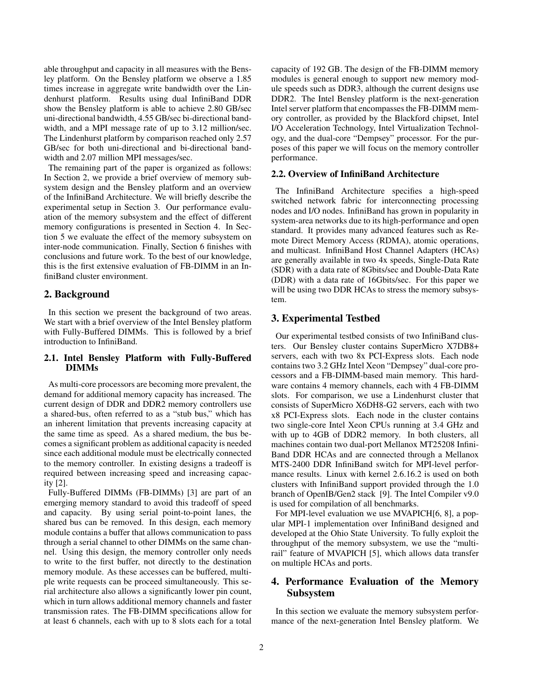able throughput and capacity in all measures with the Bensley platform. On the Bensley platform we observe a 1.85 times increase in aggregate write bandwidth over the Lindenhurst platform. Results using dual InfiniBand DDR show the Bensley platform is able to achieve 2.80 GB/sec uni-directional bandwidth, 4.55 GB/sec bi-directional bandwidth, and a MPI message rate of up to 3.12 million/sec. The Lindenhurst platform by comparison reached only 2.57 GB/sec for both uni-directional and bi-directional bandwidth and 2.07 million MPI messages/sec.

The remaining part of the paper is organized as follows: In Section 2, we provide a brief overview of memory subsystem design and the Bensley platform and an overview of the InfiniBand Architecture. We will briefly describe the experimental setup in Section 3. Our performance evaluation of the memory subsystem and the effect of different memory configurations is presented in Section 4. In Section 5 we evaluate the effect of the memory subsystem on inter-node communication. Finally, Section 6 finishes with conclusions and future work. To the best of our knowledge, this is the first extensive evaluation of FB-DIMM in an InfiniBand cluster environment.

# 2. Background

In this section we present the background of two areas. We start with a brief overview of the Intel Bensley platform with Fully-Buffered DIMMs. This is followed by a brief introduction to InfiniBand.

#### 2.1. Intel Bensley Platform with Fully-Buffered DIMMs

As multi-core processors are becoming more prevalent, the demand for additional memory capacity has increased. The current design of DDR and DDR2 memory controllers use a shared-bus, often referred to as a "stub bus," which has an inherent limitation that prevents increasing capacity at the same time as speed. As a shared medium, the bus becomes a significant problem as additional capacity is needed since each additional module must be electrically connected to the memory controller. In existing designs a tradeoff is required between increasing speed and increasing capacity [2].

Fully-Buffered DIMMs (FB-DIMMs) [3] are part of an emerging memory standard to avoid this tradeoff of speed and capacity. By using serial point-to-point lanes, the shared bus can be removed. In this design, each memory module contains a buffer that allows communication to pass through a serial channel to other DIMMs on the same channel. Using this design, the memory controller only needs to write to the first buffer, not directly to the destination memory module. As these accesses can be buffered, multiple write requests can be proceed simultaneously. This serial architecture also allows a significantly lower pin count, which in turn allows additional memory channels and faster transmission rates. The FB-DIMM specifications allow for at least 6 channels, each with up to 8 slots each for a total

capacity of 192 GB. The design of the FB-DIMM memory modules is general enough to support new memory module speeds such as DDR3, although the current designs use DDR2. The Intel Bensley platform is the next-generation Intel server platform that encompasses the FB-DIMM memory controller, as provided by the Blackford chipset, Intel I/O Acceleration Technology, Intel Virtualization Technology, and the dual-core "Dempsey" processor. For the purposes of this paper we will focus on the memory controller performance.

# 2.2. Overview of InfiniBand Architecture

The InfiniBand Architecture specifies a high-speed switched network fabric for interconnecting processing nodes and I/O nodes. InfiniBand has grown in popularity in system-area networks due to its high-performance and open standard. It provides many advanced features such as Remote Direct Memory Access (RDMA), atomic operations, and multicast. InfiniBand Host Channel Adapters (HCAs) are generally available in two 4x speeds, Single-Data Rate (SDR) with a data rate of 8Gbits/sec and Double-Data Rate (DDR) with a data rate of 16Gbits/sec. For this paper we will be using two DDR HCAs to stress the memory subsystem.

## 3. Experimental Testbed

Our experimental testbed consists of two InfiniBand clusters. Our Bensley cluster contains SuperMicro X7DB8+ servers, each with two 8x PCI-Express slots. Each node contains two 3.2 GHz Intel Xeon "Dempsey" dual-core processors and a FB-DIMM-based main memory. This hardware contains 4 memory channels, each with 4 FB-DIMM slots. For comparison, we use a Lindenhurst cluster that consists of SuperMicro X6DH8-G2 servers, each with two x8 PCI-Express slots. Each node in the cluster contains two single-core Intel Xeon CPUs running at 3.4 GHz and with up to 4GB of DDR2 memory. In both clusters, all machines contain two dual-port Mellanox MT25208 Infini-Band DDR HCAs and are connected through a Mellanox MTS-2400 DDR InfiniBand switch for MPI-level performance results. Linux with kernel 2.6.16.2 is used on both clusters with InfiniBand support provided through the 1.0 branch of OpenIB/Gen2 stack [9]. The Intel Compiler v9.0 is used for compilation of all benchmarks.

For MPI-level evaluation we use MVAPICH[6, 8], a popular MPI-1 implementation over InfiniBand designed and developed at the Ohio State University. To fully exploit the throughput of the memory subsystem, we use the "multirail" feature of MVAPICH [5], which allows data transfer on multiple HCAs and ports.

# 4. Performance Evaluation of the Memory Subsystem

In this section we evaluate the memory subsystem performance of the next-generation Intel Bensley platform. We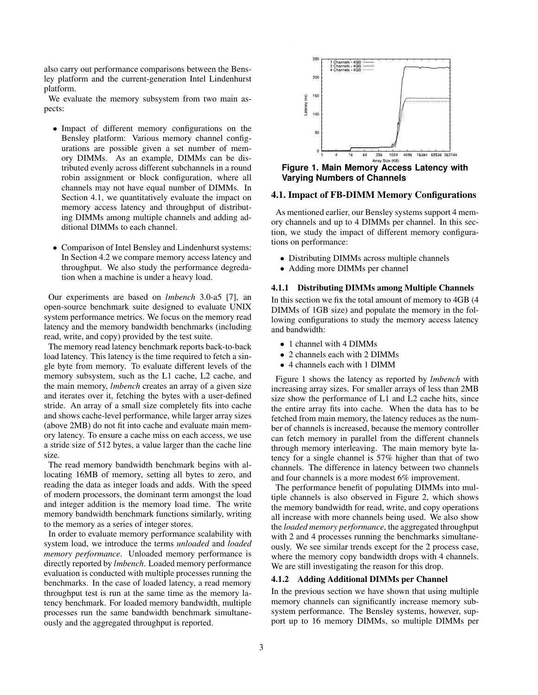also carry out performance comparisons between the Bensley platform and the current-generation Intel Lindenhurst platform.

We evaluate the memory subsystem from two main aspects:

- Impact of different memory configurations on the Bensley platform: Various memory channel configurations are possible given a set number of memory DIMMs. As an example, DIMMs can be distributed evenly across different subchannels in a round robin assignment or block configuration, where all channels may not have equal number of DIMMs. In Section 4.1, we quantitatively evaluate the impact on memory access latency and throughput of distributing DIMMs among multiple channels and adding additional DIMMs to each channel.
- Comparison of Intel Bensley and Lindenhurst systems: In Section 4.2 we compare memory access latency and throughput. We also study the performance degredation when a machine is under a heavy load.

Our experiments are based on *lmbench* 3.0-a5 [7], an open-source benchmark suite designed to evaluate UNIX system performance metrics. We focus on the memory read latency and the memory bandwidth benchmarks (including read, write, and copy) provided by the test suite.

The memory read latency benchmark reports back-to-back load latency. This latency is the time required to fetch a single byte from memory. To evaluate different levels of the memory subsystem, such as the L1 cache, L2 cache, and the main memory, *lmbench* creates an array of a given size and iterates over it, fetching the bytes with a user-defined stride. An array of a small size completely fits into cache and shows cache-level performance, while larger array sizes (above 2MB) do not fit into cache and evaluate main memory latency. To ensure a cache miss on each access, we use a stride size of 512 bytes, a value larger than the cache line size.

The read memory bandwidth benchmark begins with allocating 16MB of memory, setting all bytes to zero, and reading the data as integer loads and adds. With the speed of modern processors, the dominant term amongst the load and integer addition is the memory load time. The write memory bandwidth benchmark functions similarly, writing to the memory as a series of integer stores.

In order to evaluate memory performance scalability with system load, we introduce the terms *unloaded* and *loaded memory performance*. Unloaded memory performance is directly reported by *lmbench*. Loaded memory performance evaluation is conducted with multiple processes running the benchmarks. In the case of loaded latency, a read memory throughput test is run at the same time as the memory latency benchmark. For loaded memory bandwidth, multiple processes run the same bandwidth benchmark simultaneously and the aggregated throughput is reported.



**Figure 1. Main Memory Access Latency with Varying Numbers of Channels**

#### 4.1. Impact of FB-DIMM Memory Configurations

As mentioned earlier, our Bensley systems support 4 memory channels and up to 4 DIMMs per channel. In this section, we study the impact of different memory configurations on performance:

- Distributing DIMMs across multiple channels
- Adding more DIMMs per channel

#### 4.1.1 Distributing DIMMs among Multiple Channels

In this section we fix the total amount of memory to 4GB (4 DIMMs of 1GB size) and populate the memory in the following configurations to study the memory access latency and bandwidth:

- 1 channel with 4 DIMMs
- 2 channels each with 2 DIMMs
- 4 channels each with 1 DIMM

Figure 1 shows the latency as reported by *lmbench* with increasing array sizes. For smaller arrays of less than 2MB size show the performance of L1 and L2 cache hits, since the entire array fits into cache. When the data has to be fetched from main memory, the latency reduces as the number of channels is increased, because the memory controller can fetch memory in parallel from the different channels through memory interleaving. The main memory byte latency for a single channel is 57% higher than that of two channels. The difference in latency between two channels and four channels is a more modest 6% improvement.

The performance benefit of populating DIMMs into multiple channels is also observed in Figure 2, which shows the memory bandwidth for read, write, and copy operations all increase with more channels being used. We also show the *loaded memory performance*, the aggregated throughput with 2 and 4 processes running the benchmarks simultaneously. We see similar trends except for the 2 process case, where the memory copy bandwidth drops with 4 channels. We are still investigating the reason for this drop.

#### 4.1.2 Adding Additional DIMMs per Channel

In the previous section we have shown that using multiple memory channels can significantly increase memory subsystem performance. The Bensley systems, however, support up to 16 memory DIMMs, so multiple DIMMs per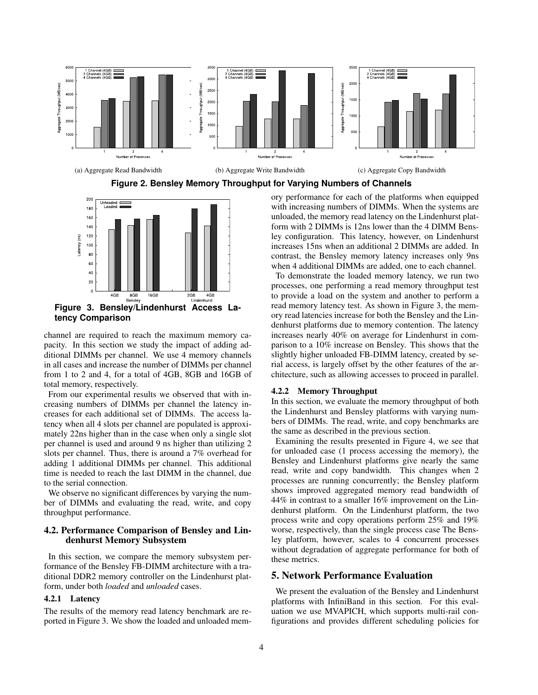

#### **Figure 2. Bensley Memory Throughput for Varying Numbers of Channels**



channel are required to reach the maximum memory capacity. In this section we study the impact of adding additional DIMMs per channel. We use 4 memory channels in all cases and increase the number of DIMMs per channel from 1 to 2 and 4, for a total of 4GB, 8GB and 16GB of total memory, respectively.

From our experimental results we observed that with increasing numbers of DIMMs per channel the latency increases for each additional set of DIMMs. The access latency when all 4 slots per channel are populated is approximately 22ns higher than in the case when only a single slot per channel is used and around 9 ns higher than utilizing 2 slots per channel. Thus, there is around a 7% overhead for adding 1 additional DIMMs per channel. This additional time is needed to reach the last DIMM in the channel, due to the serial connection.

We observe no significant differences by varying the number of DIMMs and evaluating the read, write, and copy throughput performance.

#### 4.2. Performance Comparison of Bensley and Lindenhurst Memory Subsystem

In this section, we compare the memory subsystem performance of the Bensley FB-DIMM architecture with a traditional DDR2 memory controller on the Lindenhurst platform, under both *loaded* and *unloaded* cases.

#### 4.2.1 Latency

The results of the memory read latency benchmark are reported in Figure 3. We show the loaded and unloaded memory performance for each of the platforms when equipped with increasing numbers of DIMMs. When the systems are unloaded, the memory read latency on the Lindenhurst platform with 2 DIMMs is 12ns lower than the 4 DIMM Bensley configuration. This latency, however, on Lindenhurst increases 15ns when an additional 2 DIMMs are added. In contrast, the Bensley memory latency increases only 9ns when 4 additional DIMMs are added, one to each channel.

To demonstrate the loaded memory latency, we run two processes, one performing a read memory throughput test to provide a load on the system and another to perform a read memory latency test. As shown in Figure 3, the memory read latencies increase for both the Bensley and the Lindenhurst platforms due to memory contention. The latency increases nearly 40% on average for Lindenhurst in comparison to a 10% increase on Bensley. This shows that the slightly higher unloaded FB-DIMM latency, created by serial access, is largely offset by the other features of the architecture, such as allowing accesses to proceed in parallel.

#### 4.2.2 Memory Throughput

In this section, we evaluate the memory throughput of both the Lindenhurst and Bensley platforms with varying numbers of DIMMs. The read, write, and copy benchmarks are the same as described in the previous section.

Examining the results presented in Figure 4, we see that for unloaded case (1 process accessing the memory), the Bensley and Lindenhurst platforms give nearly the same read, write and copy bandwidth. This changes when 2 processes are running concurrently; the Bensley platform shows improved aggregated memory read bandwidth of 44% in contrast to a smaller 16% improvement on the Lindenhurst platform. On the Lindenhurst platform, the two process write and copy operations perform 25% and 19% worse, respectively, than the single process case The Bensley platform, however, scales to 4 concurrent processes without degradation of aggregate performance for both of these metrics.

# 5. Network Performance Evaluation

We present the evaluation of the Bensley and Lindenhurst platforms with InfiniBand in this section. For this evaluation we use MVAPICH, which supports multi-rail configurations and provides different scheduling policies for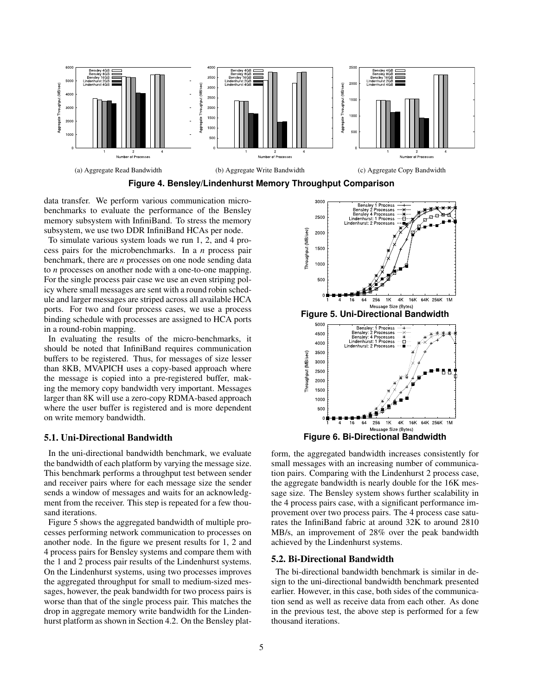

**Figure 4. Bensley/Lindenhurst Memory Throughput Comparison**

data transfer. We perform various communication microbenchmarks to evaluate the performance of the Bensley memory subsystem with InfiniBand. To stress the memory subsystem, we use two DDR InfiniBand HCAs per node.

To simulate various system loads we run 1, 2, and 4 process pairs for the microbenchmarks. In a *n* process pair benchmark, there are *n* processes on one node sending data to *n* processes on another node with a one-to-one mapping. For the single process pair case we use an even striping policy where small messages are sent with a round robin schedule and larger messages are striped across all available HCA ports. For two and four process cases, we use a process binding schedule with processes are assigned to HCA ports in a round-robin mapping.

In evaluating the results of the micro-benchmarks, it should be noted that InfiniBand requires communication buffers to be registered. Thus, for messages of size lesser than 8KB, MVAPICH uses a copy-based approach where the message is copied into a pre-registered buffer, making the memory copy bandwidth very important. Messages larger than 8K will use a zero-copy RDMA-based approach where the user buffer is registered and is more dependent on write memory bandwidth.

#### 5.1. Uni-Directional Bandwidth

In the uni-directional bandwidth benchmark, we evaluate the bandwidth of each platform by varying the message size. This benchmark performs a throughput test between sender and receiver pairs where for each message size the sender sends a window of messages and waits for an acknowledgment from the receiver. This step is repeated for a few thousand iterations.

Figure 5 shows the aggregated bandwidth of multiple processes performing network communication to processes on another node. In the figure we present results for 1, 2 and 4 process pairs for Bensley systems and compare them with the 1 and 2 process pair results of the Lindenhurst systems. On the Lindenhurst systems, using two processes improves the aggregated throughput for small to medium-sized messages, however, the peak bandwidth for two process pairs is worse than that of the single process pair. This matches the drop in aggregate memory write bandwidth for the Lindenhurst platform as shown in Section 4.2. On the Bensley plat-



form, the aggregated bandwidth increases consistently for small messages with an increasing number of communication pairs. Comparing with the Lindenhurst 2 process case, the aggregate bandwidth is nearly double for the 16K message size. The Bensley system shows further scalability in the 4 process pairs case, with a significant performance improvement over two process pairs. The 4 process case saturates the InfiniBand fabric at around 32K to around 2810 MB/s, an improvement of 28% over the peak bandwidth achieved by the Lindenhurst systems.

#### 5.2. Bi-Directional Bandwidth

The bi-directional bandwidth benchmark is similar in design to the uni-directional bandwidth benchmark presented earlier. However, in this case, both sides of the communication send as well as receive data from each other. As done in the previous test, the above step is performed for a few thousand iterations.